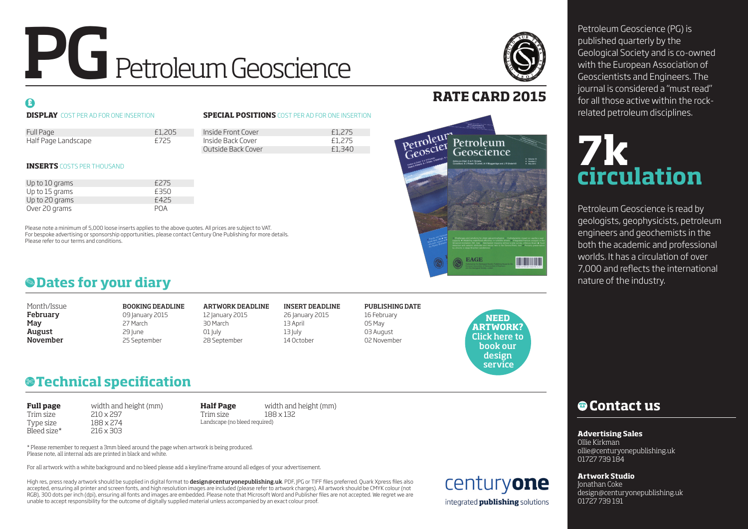# PG Petroleum Geoscience

### $\mathbf{G}$

### **DISPLAY** COST PER AD FOR ONE INSERTION

### **SPECIAL POSITIONS** COST PER AD FOR ONE INSERTION

| Full Page                   | £1,205            | Inside Front Cover | £1,275 |
|-----------------------------|-------------------|--------------------|--------|
| Half Page Landscape<br>£725 | Inside Back Cover | £1,275             |        |
|                             |                   | Outside Back Cover | £1,340 |

### **INSERTS** COSTS PER THOUSAND

| Up to 10 grams | £275       |
|----------------|------------|
| Up to 15 grams | £350       |
| Up to 20 grams | £425       |
| Over 20 grams  | <b>POA</b> |

Please note a minimum of 5,000 loose inserts applies to the above quotes. All prices are subject to VAT. For bespoke advertising or sponsorship opportunities, please contact Century One Publishing for more details. Please refer to our terms and conditions.



### **RATE CARD 2015**



| Month/Issue |
|-------------|
| February    |
| May         |
| August      |
| November    |

BOOKING DEADLINE ARTWORK DEADLINE INSERT DEADLINE PUBLISHING DATE February 09 January 2015 12 January 2015 26 January 2015 16 February May 27 March 30 March 13 April 05 May **August** 13 July 13 July 13 July 13 July 13 July 13 July 13 July 13 July 13 July 13 July 13 July 13 July 13 July 13 July 13 July 13 July 13 July 13 July 13 July 13 July 13 July 13 July 13 July 13 July 13 July 13 July 13 Ju **November** 25 September 28 September 28 September 14 October 02 November

**NEED ARTWORK?** [Click here to](#page-1-0) book our design service

## **Technical specification** \$

**Full page** width and height (mm) Trim size 210 x 297<br>Type size 188 x 274 Type size Bleed size\* 216 x 303

Landscape (no bleed required)

**Half Page** width and height (mm) Trim size 188 x 132

\* Please remember to request a 3mm bleed around the page when artwork is being produced. Please note, all internal ads are printed in black and white.

For all artwork with a white background and no bleed please add a keyline/frame around all edges of your advertisement.

High res, press ready artwork should be supplied in digital format to design@centuryonepublishing.uk. PDF, JPG or TIFF files preferred. Quark Xpress files also accepted, ensuring all printer and screen fonts, and high resolution images are included (please refer to artwork charges). All artwork should be CMYK colour (not RGB), 300 dots per inch (dpi), ensuring all fonts and images are embedded. Please note that Microsoft Word and Publisher files are not accepted. We regret we are unable to accept responsibility for the outcome of digitally supplied material unless accompanied by an exact colour proof.

centuryone integrated **publishing** solutions

Petroleum Geoscience (PG) is published quarterly by the Geological Society and is co-owned with the European Association of Geoscientists and Engineers. The journal is considered a "must read" for all those active within the rockrelated petroleum disciplines.

# **7k circulation**

Petroleum Geoscience is read by geologists, geophysicists, petroleum engineers and geochemists in the both the academic and professional worlds. It has a circulation of over 7,000 and reflects the international

### % **Contact us**

### **Advertising Sales**

Ollie Kirkman ollie@centuryonepublishing.uk 01727 739 184

### **Artwork Studio**

Jonathan Coke design@centuryonepublishing.uk 01727 739 191